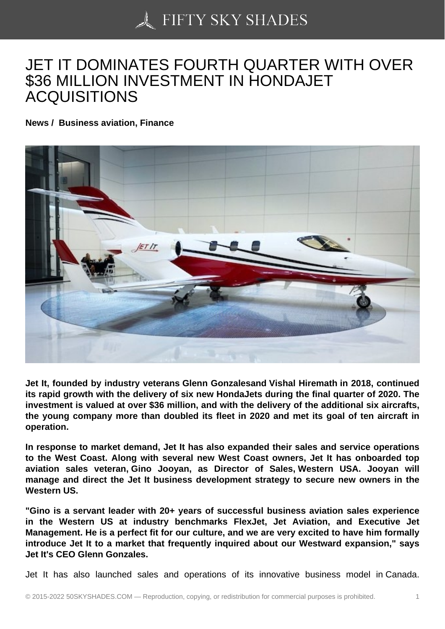## [JET IT DOMINATES F](https://50skyshades.com)OURTH QUARTER WITH OVER \$36 MILLION INVESTMENT IN HONDAJET ACQUISITIONS

News / Business aviation, Finance

Jet It, founded by industry veterans Glenn Gonzalesand Vishal Hiremath in 2018, continued its rapid growth with the delivery of six new HondaJets during the final quarter of 2020. The investment is valued at over \$36 million, and with the delivery of the additional six aircrafts, the young company more than doubled its fleet in 2020 and met its goal of ten aircraft in operation.

In response to market demand, Jet It has also expanded their sales and service operations to the West Coast. Along with several new West Coast owners, Jet It has onboarded top aviation sales veteran, Gino Jooyan, as Director of Sales, Western USA. Jooyan will manage and direct the Jet It business development strategy to secure new owners in the Western US.

"Gino is a servant leader with 20+ years of successful business aviation sales experience in the Western US at industry benchmarks FlexJet, Jet Aviation, and Executive Jet Management. He is a perfect fit for our culture, and we are very excited to have him formally introduce Jet It to a market that frequently inquired about our Westward expansion," says Jet It's CEO Glenn Gonzales.

Jet It has also launched sales and operations of its innovative business model in Canada.